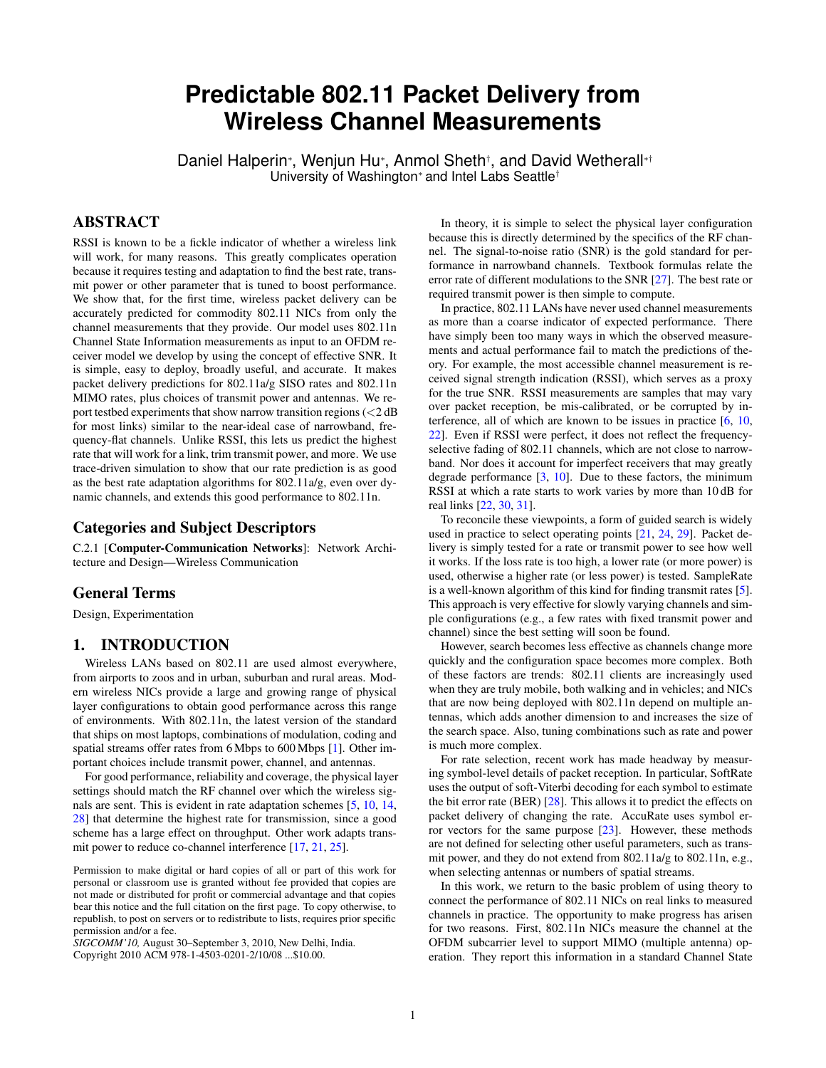# **Predictable 802.11 Packet Delivery from Wireless Channel Measurements**

Daniel Halperin\*, Wenjun Hu\*, Anmol Sheth†, and David Wetherall\*† University of Washington<sup>∗</sup> and Intel Labs Seattle†

# ABSTRACT

RSSI is known to be a fickle indicator of whether a wireless link will work, for many reasons. This greatly complicates operation because it requires testing and adaptation to find the best rate, transmit power or other parameter that is tuned to boost performance. We show that, for the first time, wireless packet delivery can be accurately predicted for commodity 802.11 NICs from only the channel measurements that they provide. Our model uses 802.11n Channel State Information measurements as input to an OFDM receiver model we develop by using the concept of effective SNR. It is simple, easy to deploy, broadly useful, and accurate. It makes packet delivery predictions for 802.11a/g SISO rates and 802.11n MIMO rates, plus choices of transmit power and antennas. We report testbed experiments that show narrow transition regions  $\left( < 2 \, \text{dB} \right)$ for most links) similar to the near-ideal case of narrowband, frequency-flat channels. Unlike RSSI, this lets us predict the highest rate that will work for a link, trim transmit power, and more. We use trace-driven simulation to show that our rate prediction is as good as the best rate adaptation algorithms for 802.11a/g, even over dynamic channels, and extends this good performance to 802.11n.

# Categories and Subject Descriptors

C.2.1 [Computer-Communication Networks]: Network Architecture and Design—Wireless Communication

## General Terms

Design, Experimentation

# 1. INTRODUCTION

Wireless LANs based on 802.11 are used almost everywhere, from airports to zoos and in urban, suburban and rural areas. Modern wireless NICs provide a large and growing range of physical layer configurations to obtain good performance across this range of environments. With 802.11n, the latest version of the standard that ships on most laptops, combinations of modulation, coding and spatial streams offer rates from 6 Mbps to 600 Mbps [\[1\]](#page-11-0). Other important choices include transmit power, channel, and antennas.

For good performance, reliability and coverage, the physical layer settings should match the RF channel over which the wireless signals are sent. This is evident in rate adaptation schemes [\[5,](#page-11-1) [10,](#page-11-2) [14,](#page-11-3) [28\]](#page-11-4) that determine the highest rate for transmission, since a good scheme has a large effect on throughput. Other work adapts transmit power to reduce co-channel interference [\[17,](#page-11-5) [21,](#page-11-6) [25\]](#page-11-7).

Permission to make digital or hard copies of all or part of this work for personal or classroom use is granted without fee provided that copies are not made or distributed for profit or commercial advantage and that copies bear this notice and the full citation on the first page. To copy otherwise, to republish, to post on servers or to redistribute to lists, requires prior specific permission and/or a fee.

*SIGCOMM'10,* August 30–September 3, 2010, New Delhi, India. Copyright 2010 ACM 978-1-4503-0201-2/10/08 ...\$10.00.

In theory, it is simple to select the physical layer configuration because this is directly determined by the specifics of the RF channel. The signal-to-noise ratio (SNR) is the gold standard for performance in narrowband channels. Textbook formulas relate the error rate of different modulations to the SNR [\[27\]](#page-11-8). The best rate or required transmit power is then simple to compute.

In practice, 802.11 LANs have never used channel measurements as more than a coarse indicator of expected performance. There have simply been too many ways in which the observed measurements and actual performance fail to match the predictions of theory. For example, the most accessible channel measurement is received signal strength indication (RSSI), which serves as a proxy for the true SNR. RSSI measurements are samples that may vary over packet reception, be mis-calibrated, or be corrupted by interference, all of which are known to be issues in practice [\[6,](#page-11-9) [10,](#page-11-2) [22\]](#page-11-10). Even if RSSI were perfect, it does not reflect the frequencyselective fading of 802.11 channels, which are not close to narrowband. Nor does it account for imperfect receivers that may greatly degrade performance [\[3,](#page-11-11) [10\]](#page-11-2). Due to these factors, the minimum RSSI at which a rate starts to work varies by more than 10 dB for real links [\[22,](#page-11-10) [30,](#page-11-12) [31\]](#page-11-13).

To reconcile these viewpoints, a form of guided search is widely used in practice to select operating points [\[21,](#page-11-6) [24,](#page-11-14) [29\]](#page-11-15). Packet delivery is simply tested for a rate or transmit power to see how well it works. If the loss rate is too high, a lower rate (or more power) is used, otherwise a higher rate (or less power) is tested. SampleRate is a well-known algorithm of this kind for finding transmit rates [\[5\]](#page-11-1). This approach is very effective for slowly varying channels and simple configurations (e.g., a few rates with fixed transmit power and channel) since the best setting will soon be found.

However, search becomes less effective as channels change more quickly and the configuration space becomes more complex. Both of these factors are trends: 802.11 clients are increasingly used when they are truly mobile, both walking and in vehicles; and NICs that are now being deployed with 802.11n depend on multiple antennas, which adds another dimension to and increases the size of the search space. Also, tuning combinations such as rate and power is much more complex.

For rate selection, recent work has made headway by measuring symbol-level details of packet reception. In particular, SoftRate uses the output of soft-Viterbi decoding for each symbol to estimate the bit error rate (BER) [\[28\]](#page-11-4). This allows it to predict the effects on packet delivery of changing the rate. AccuRate uses symbol error vectors for the same purpose [\[23\]](#page-11-16). However, these methods are not defined for selecting other useful parameters, such as transmit power, and they do not extend from 802.11a/g to 802.11n, e.g., when selecting antennas or numbers of spatial streams.

In this work, we return to the basic problem of using theory to connect the performance of 802.11 NICs on real links to measured channels in practice. The opportunity to make progress has arisen for two reasons. First, 802.11n NICs measure the channel at the OFDM subcarrier level to support MIMO (multiple antenna) operation. They report this information in a standard Channel State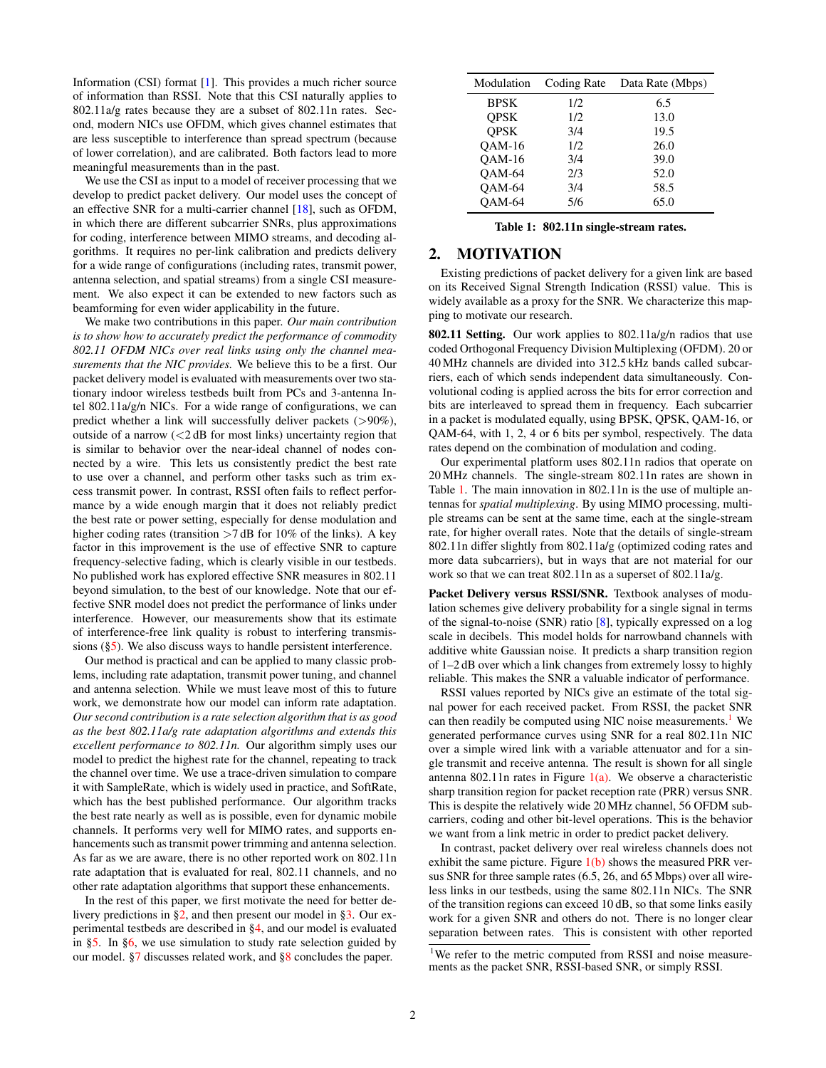Information (CSI) format [\[1\]](#page-11-0). This provides a much richer source of information than RSSI. Note that this CSI naturally applies to 802.11a/g rates because they are a subset of 802.11n rates. Second, modern NICs use OFDM, which gives channel estimates that are less susceptible to interference than spread spectrum (because of lower correlation), and are calibrated. Both factors lead to more meaningful measurements than in the past.

We use the CSI as input to a model of receiver processing that we develop to predict packet delivery. Our model uses the concept of an effective SNR for a multi-carrier channel [\[18\]](#page-11-17), such as OFDM, in which there are different subcarrier SNRs, plus approximations for coding, interference between MIMO streams, and decoding algorithms. It requires no per-link calibration and predicts delivery for a wide range of configurations (including rates, transmit power, antenna selection, and spatial streams) from a single CSI measurement. We also expect it can be extended to new factors such as beamforming for even wider applicability in the future.

We make two contributions in this paper. *Our main contribution is to show how to accurately predict the performance of commodity 802.11 OFDM NICs over real links using only the channel measurements that the NIC provides.* We believe this to be a first. Our packet delivery model is evaluated with measurements over two stationary indoor wireless testbeds built from PCs and 3-antenna Intel 802.11a/g/n NICs. For a wide range of configurations, we can predict whether a link will successfully deliver packets (>90%), outside of a narrow  $\left( \langle 2 \, \text{dB} \rangle \right)$  for most links) uncertainty region that is similar to behavior over the near-ideal channel of nodes connected by a wire. This lets us consistently predict the best rate to use over a channel, and perform other tasks such as trim excess transmit power. In contrast, RSSI often fails to reflect performance by a wide enough margin that it does not reliably predict the best rate or power setting, especially for dense modulation and higher coding rates (transition  $>7$  dB for 10% of the links). A key factor in this improvement is the use of effective SNR to capture frequency-selective fading, which is clearly visible in our testbeds. No published work has explored effective SNR measures in 802.11 beyond simulation, to the best of our knowledge. Note that our effective SNR model does not predict the performance of links under interference. However, our measurements show that its estimate of interference-free link quality is robust to interfering transmissions ([§5\)](#page-5-0). We also discuss ways to handle persistent interference.

Our method is practical and can be applied to many classic problems, including rate adaptation, transmit power tuning, and channel and antenna selection. While we must leave most of this to future work, we demonstrate how our model can inform rate adaptation. *Our second contribution is a rate selection algorithm that is as good as the best 802.11a/g rate adaptation algorithms and extends this excellent performance to 802.11n.* Our algorithm simply uses our model to predict the highest rate for the channel, repeating to track the channel over time. We use a trace-driven simulation to compare it with SampleRate, which is widely used in practice, and SoftRate, which has the best published performance. Our algorithm tracks the best rate nearly as well as is possible, even for dynamic mobile channels. It performs very well for MIMO rates, and supports enhancements such as transmit power trimming and antenna selection. As far as we are aware, there is no other reported work on 802.11n rate adaptation that is evaluated for real, 802.11 channels, and no other rate adaptation algorithms that support these enhancements.

In the rest of this paper, we first motivate the need for better delivery predictions in [§2,](#page-1-0) and then present our model in [§3.](#page-2-0) Our experimental testbeds are described in [§4,](#page-4-0) and our model is evaluated in [§5.](#page-5-0) In [§6,](#page-8-0) we use simulation to study rate selection guided by our model. [§7](#page-10-0) discusses related work, and [§8](#page-11-18) concludes the paper.

<span id="page-1-1"></span>

| Modulation    | Coding Rate | Data Rate (Mbps) |  |
|---------------|-------------|------------------|--|
| <b>BPSK</b>   | 1/2         | 6.5              |  |
| <b>OPSK</b>   | 1/2         | 13.0             |  |
| <b>OPSK</b>   | 3/4         | 19.5             |  |
| <b>OAM-16</b> | 1/2         | 26.0             |  |
| <b>OAM-16</b> | 3/4         | 39.0             |  |
| OAM-64        | 2/3         | 52.0             |  |
| OAM-64        | 3/4         | 58.5             |  |
| <b>OAM-64</b> | 5/6         | 65.0             |  |

|  |  | Table 1: 802.11n single-stream rates. |  |
|--|--|---------------------------------------|--|
|--|--|---------------------------------------|--|

# <span id="page-1-0"></span>2. MOTIVATION

Existing predictions of packet delivery for a given link are based on its Received Signal Strength Indication (RSSI) value. This is widely available as a proxy for the SNR. We characterize this mapping to motivate our research.

802.11 Setting. Our work applies to 802.11a/g/n radios that use coded Orthogonal Frequency Division Multiplexing (OFDM). 20 or 40 MHz channels are divided into 312.5 kHz bands called subcarriers, each of which sends independent data simultaneously. Convolutional coding is applied across the bits for error correction and bits are interleaved to spread them in frequency. Each subcarrier in a packet is modulated equally, using BPSK, QPSK, QAM-16, or QAM-64, with 1, 2, 4 or 6 bits per symbol, respectively. The data rates depend on the combination of modulation and coding.

Our experimental platform uses 802.11n radios that operate on 20 MHz channels. The single-stream 802.11n rates are shown in Table [1.](#page-1-1) The main innovation in 802.11n is the use of multiple antennas for *spatial multiplexing*. By using MIMO processing, multiple streams can be sent at the same time, each at the single-stream rate, for higher overall rates. Note that the details of single-stream 802.11n differ slightly from 802.11a/g (optimized coding rates and more data subcarriers), but in ways that are not material for our work so that we can treat 802.11n as a superset of 802.11a/g.

Packet Delivery versus RSSI/SNR. Textbook analyses of modulation schemes give delivery probability for a single signal in terms of the signal-to-noise (SNR) ratio [\[8\]](#page-11-19), typically expressed on a log scale in decibels. This model holds for narrowband channels with additive white Gaussian noise. It predicts a sharp transition region of 1–2 dB over which a link changes from extremely lossy to highly reliable. This makes the SNR a valuable indicator of performance.

RSSI values reported by NICs give an estimate of the total signal power for each received packet. From RSSI, the packet SNR can then readily be computed using NIC noise measurements.<sup>[1](#page-1-2)</sup> We generated performance curves using SNR for a real 802.11n NIC over a simple wired link with a variable attenuator and for a single transmit and receive antenna. The result is shown for all single antenna 802.11n rates in Figure  $1(a)$ . We observe a characteristic sharp transition region for packet reception rate (PRR) versus SNR. This is despite the relatively wide 20 MHz channel, 56 OFDM subcarriers, coding and other bit-level operations. This is the behavior we want from a link metric in order to predict packet delivery.

In contrast, packet delivery over real wireless channels does not exhibit the same picture. Figure  $1(b)$  shows the measured PRR versus SNR for three sample rates (6.5, 26, and 65 Mbps) over all wireless links in our testbeds, using the same 802.11n NICs. The SNR of the transition regions can exceed 10 dB, so that some links easily work for a given SNR and others do not. There is no longer clear separation between rates. This is consistent with other reported

<span id="page-1-2"></span><sup>&</sup>lt;sup>1</sup>We refer to the metric computed from RSSI and noise measurements as the packet SNR, RSSI-based SNR, or simply RSSI.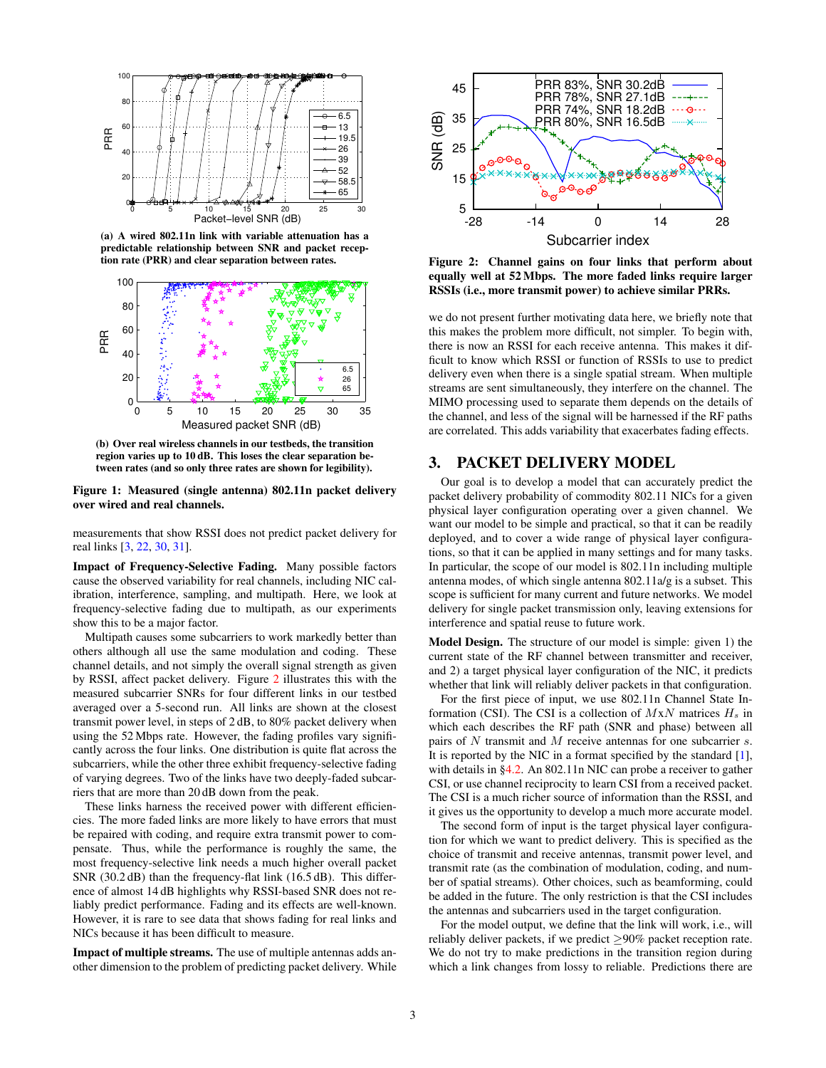<span id="page-2-1"></span>

(a) A wired 802.11n link with variable attenuation has a predictable relationship between SNR and packet reception rate (PRR) and clear separation between rates.



<span id="page-2-2"></span>(b) Over real wireless channels in our testbeds, the transition region varies up to 10 dB. This loses the clear separation between rates (and so only three rates are shown for legibility).

Figure 1: Measured (single antenna) 802.11n packet delivery over wired and real channels.

measurements that show RSSI does not predict packet delivery for real links [\[3,](#page-11-11) [22,](#page-11-10) [30,](#page-11-12) [31\]](#page-11-13).

Impact of Frequency-Selective Fading. Many possible factors cause the observed variability for real channels, including NIC calibration, interference, sampling, and multipath. Here, we look at frequency-selective fading due to multipath, as our experiments show this to be a major factor.

Multipath causes some subcarriers to work markedly better than others although all use the same modulation and coding. These channel details, and not simply the overall signal strength as given by RSSI, affect packet delivery. Figure [2](#page-2-3) illustrates this with the measured subcarrier SNRs for four different links in our testbed averaged over a 5-second run. All links are shown at the closest transmit power level, in steps of 2 dB, to 80% packet delivery when using the 52 Mbps rate. However, the fading profiles vary significantly across the four links. One distribution is quite flat across the subcarriers, while the other three exhibit frequency-selective fading of varying degrees. Two of the links have two deeply-faded subcarriers that are more than 20 dB down from the peak.

These links harness the received power with different efficiencies. The more faded links are more likely to have errors that must be repaired with coding, and require extra transmit power to compensate. Thus, while the performance is roughly the same, the most frequency-selective link needs a much higher overall packet SNR (30.2 dB) than the frequency-flat link (16.5 dB). This difference of almost 14 dB highlights why RSSI-based SNR does not reliably predict performance. Fading and its effects are well-known. However, it is rare to see data that shows fading for real links and NICs because it has been difficult to measure.

Impact of multiple streams. The use of multiple antennas adds another dimension to the problem of predicting packet delivery. While

<span id="page-2-3"></span>

Figure 2: Channel gains on four links that perform about equally well at 52 Mbps. The more faded links require larger RSSIs (i.e., more transmit power) to achieve similar PRRs.

we do not present further motivating data here, we briefly note that this makes the problem more difficult, not simpler. To begin with, there is now an RSSI for each receive antenna. This makes it difficult to know which RSSI or function of RSSIs to use to predict delivery even when there is a single spatial stream. When multiple streams are sent simultaneously, they interfere on the channel. The MIMO processing used to separate them depends on the details of the channel, and less of the signal will be harnessed if the RF paths are correlated. This adds variability that exacerbates fading effects.

## <span id="page-2-0"></span>3. PACKET DELIVERY MODEL

Our goal is to develop a model that can accurately predict the packet delivery probability of commodity 802.11 NICs for a given physical layer configuration operating over a given channel. We want our model to be simple and practical, so that it can be readily deployed, and to cover a wide range of physical layer configurations, so that it can be applied in many settings and for many tasks. In particular, the scope of our model is 802.11n including multiple antenna modes, of which single antenna 802.11a/g is a subset. This scope is sufficient for many current and future networks. We model delivery for single packet transmission only, leaving extensions for interference and spatial reuse to future work.

Model Design. The structure of our model is simple: given 1) the current state of the RF channel between transmitter and receiver, and 2) a target physical layer configuration of the NIC, it predicts whether that link will reliably deliver packets in that configuration.

For the first piece of input, we use 802.11n Channel State Information (CSI). The CSI is a collection of  $MxN$  matrices  $H_s$  in which each describes the RF path (SNR and phase) between all pairs of N transmit and M receive antennas for one subcarrier s. It is reported by the NIC in a format specified by the standard [\[1\]](#page-11-0), with details in [§4.2.](#page-5-1) An 802.11n NIC can probe a receiver to gather CSI, or use channel reciprocity to learn CSI from a received packet. The CSI is a much richer source of information than the RSSI, and it gives us the opportunity to develop a much more accurate model.

The second form of input is the target physical layer configuration for which we want to predict delivery. This is specified as the choice of transmit and receive antennas, transmit power level, and transmit rate (as the combination of modulation, coding, and number of spatial streams). Other choices, such as beamforming, could be added in the future. The only restriction is that the CSI includes the antennas and subcarriers used in the target configuration.

For the model output, we define that the link will work, i.e., will reliably deliver packets, if we predict  $\geq 90\%$  packet reception rate. We do not try to make predictions in the transition region during which a link changes from lossy to reliable. Predictions there are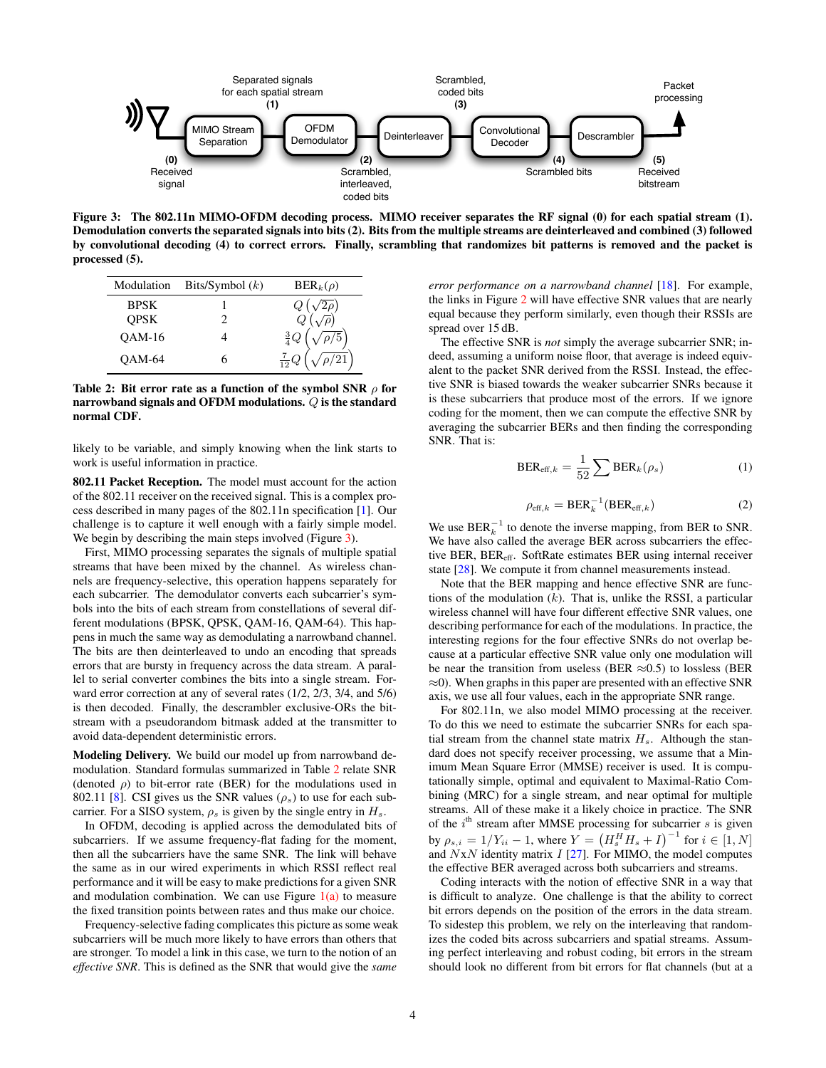<span id="page-3-0"></span>

Figure 3: The 802.11n MIMO-OFDM decoding process. MIMO receiver separates the RF signal (0) for each spatial stream (1). Demodulation converts the separated signals into bits (2). Bits from the multiple streams are deinterleaved and combined (3) followed by convolutional decoding (4) to correct errors. Finally, scrambling that randomizes bit patterns is removed and the packet is processed (5).

<span id="page-3-1"></span>

| Modulation    | Bits/Symbol $(k)$ | $BER_k(\rho)$ |  |
|---------------|-------------------|---------------|--|
| BPSK          |                   |               |  |
| <b>QPSK</b>   |                   |               |  |
| <b>OAM-16</b> |                   |               |  |
| <b>OAM-64</b> | h                 |               |  |

Table 2: Bit error rate as a function of the symbol SNR  $\rho$  for narrowband signals and OFDM modulations. Q is the standard normal CDF.

likely to be variable, and simply knowing when the link starts to work is useful information in practice.

802.11 Packet Reception. The model must account for the action of the 802.11 receiver on the received signal. This is a complex process described in many pages of the 802.11n specification [\[1\]](#page-11-0). Our challenge is to capture it well enough with a fairly simple model. We begin by describing the main steps involved (Figure [3\)](#page-3-0).

First, MIMO processing separates the signals of multiple spatial streams that have been mixed by the channel. As wireless channels are frequency-selective, this operation happens separately for each subcarrier. The demodulator converts each subcarrier's symbols into the bits of each stream from constellations of several different modulations (BPSK, QPSK, QAM-16, QAM-64). This happens in much the same way as demodulating a narrowband channel. The bits are then deinterleaved to undo an encoding that spreads errors that are bursty in frequency across the data stream. A parallel to serial converter combines the bits into a single stream. Forward error correction at any of several rates (1/2, 2/3, 3/4, and 5/6) is then decoded. Finally, the descrambler exclusive-ORs the bitstream with a pseudorandom bitmask added at the transmitter to avoid data-dependent deterministic errors.

Modeling Delivery. We build our model up from narrowband demodulation. Standard formulas summarized in Table [2](#page-3-1) relate SNR (denoted  $\rho$ ) to bit-error rate (BER) for the modulations used in 802.11 [\[8\]](#page-11-19). CSI gives us the SNR values ( $\rho_s$ ) to use for each subcarrier. For a SISO system,  $\rho_s$  is given by the single entry in  $H_s$ .

In OFDM, decoding is applied across the demodulated bits of subcarriers. If we assume frequency-flat fading for the moment, then all the subcarriers have the same SNR. The link will behave the same as in our wired experiments in which RSSI reflect real performance and it will be easy to make predictions for a given SNR and modulation combination. We can use Figure  $1(a)$  to measure the fixed transition points between rates and thus make our choice.

Frequency-selective fading complicates this picture as some weak subcarriers will be much more likely to have errors than others that are stronger. To model a link in this case, we turn to the notion of an *effective SNR*. This is defined as the SNR that would give the *same*

*error performance on a narrowband channel* [\[18\]](#page-11-17). For example, the links in Figure [2](#page-2-3) will have effective SNR values that are nearly equal because they perform similarly, even though their RSSIs are spread over 15 dB.

The effective SNR is *not* simply the average subcarrier SNR; indeed, assuming a uniform noise floor, that average is indeed equivalent to the packet SNR derived from the RSSI. Instead, the effective SNR is biased towards the weaker subcarrier SNRs because it is these subcarriers that produce most of the errors. If we ignore coding for the moment, then we can compute the effective SNR by averaging the subcarrier BERs and then finding the corresponding SNR. That is:

<span id="page-3-2"></span>
$$
BER_{\text{eff},k} = \frac{1}{52} \sum BER_k(\rho_s)
$$
 (1)

$$
\rho_{\text{eff},k} = \text{BER}_k^{-1}(\text{BER}_{\text{eff},k})
$$
\n(2)

We use  $BER_k^{-1}$  to denote the inverse mapping, from BER to SNR. We have also called the average BER across subcarriers the effective BER, BER<sub>eff</sub>. SoftRate estimates BER using internal receiver state [\[28\]](#page-11-4). We compute it from channel measurements instead.

Note that the BER mapping and hence effective SNR are functions of the modulation  $(k)$ . That is, unlike the RSSI, a particular wireless channel will have four different effective SNR values, one describing performance for each of the modulations. In practice, the interesting regions for the four effective SNRs do not overlap because at a particular effective SNR value only one modulation will be near the transition from useless (BER  $\approx 0.5$ ) to lossless (BER  $\approx$ 0). When graphs in this paper are presented with an effective SNR axis, we use all four values, each in the appropriate SNR range.

For 802.11n, we also model MIMO processing at the receiver. To do this we need to estimate the subcarrier SNRs for each spatial stream from the channel state matrix  $H_s$ . Although the standard does not specify receiver processing, we assume that a Minimum Mean Square Error (MMSE) receiver is used. It is computationally simple, optimal and equivalent to Maximal-Ratio Combining (MRC) for a single stream, and near optimal for multiple streams. All of these make it a likely choice in practice. The SNR of the  $i<sup>th</sup>$  stream after MMSE processing for subcarrier  $s$  is given by  $\rho_{s,i} = 1/Y_{ii} - 1$ , where  $Y = (H_s^H H_s + I)^{-1}$  for  $i \in [1, N]$ and  $NxN$  identity matrix  $I$  [\[27\]](#page-11-8). For MIMO, the model computes the effective BER averaged across both subcarriers and streams.

Coding interacts with the notion of effective SNR in a way that is difficult to analyze. One challenge is that the ability to correct bit errors depends on the position of the errors in the data stream. To sidestep this problem, we rely on the interleaving that randomizes the coded bits across subcarriers and spatial streams. Assuming perfect interleaving and robust coding, bit errors in the stream should look no different from bit errors for flat channels (but at a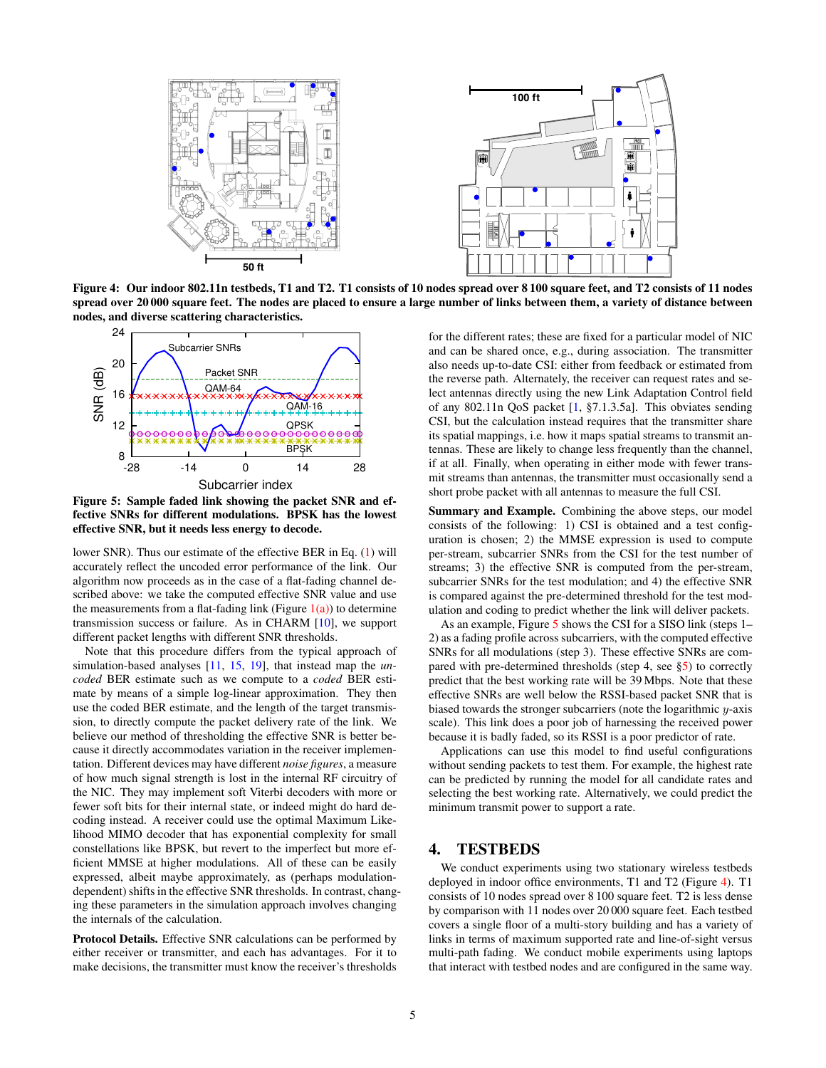<span id="page-4-2"></span>

Figure 4: Our indoor 802.11n testbeds, T1 and T2. T1 consists of 10 nodes spread over 8 100 square feet, and T2 consists of 11 nodes spread over 20 000 square feet. The nodes are placed to ensure a large number of links between them, a variety of distance between nodes, and diverse scattering characteristics.

<span id="page-4-1"></span>

Figure 5: Sample faded link showing the packet SNR and effective SNRs for different modulations. BPSK has the lowest effective SNR, but it needs less energy to decode.

lower SNR). Thus our estimate of the effective BER in Eq. [\(1\)](#page-3-2) will accurately reflect the uncoded error performance of the link. Our algorithm now proceeds as in the case of a flat-fading channel described above: we take the computed effective SNR value and use the measurements from a flat-fading link (Figure  $1(a)$ ) to determine transmission success or failure. As in CHARM [\[10\]](#page-11-2), we support different packet lengths with different SNR thresholds.

Note that this procedure differs from the typical approach of simulation-based analyses [\[11,](#page-11-20) [15,](#page-11-21) [19\]](#page-11-22), that instead map the *uncoded* BER estimate such as we compute to a *coded* BER estimate by means of a simple log-linear approximation. They then use the coded BER estimate, and the length of the target transmission, to directly compute the packet delivery rate of the link. We believe our method of thresholding the effective SNR is better because it directly accommodates variation in the receiver implementation. Different devices may have different *noise figures*, a measure of how much signal strength is lost in the internal RF circuitry of the NIC. They may implement soft Viterbi decoders with more or fewer soft bits for their internal state, or indeed might do hard decoding instead. A receiver could use the optimal Maximum Likelihood MIMO decoder that has exponential complexity for small constellations like BPSK, but revert to the imperfect but more efficient MMSE at higher modulations. All of these can be easily expressed, albeit maybe approximately, as (perhaps modulationdependent) shifts in the effective SNR thresholds. In contrast, changing these parameters in the simulation approach involves changing the internals of the calculation.

Protocol Details. Effective SNR calculations can be performed by either receiver or transmitter, and each has advantages. For it to make decisions, the transmitter must know the receiver's thresholds for the different rates; these are fixed for a particular model of NIC and can be shared once, e.g., during association. The transmitter also needs up-to-date CSI: either from feedback or estimated from the reverse path. Alternately, the receiver can request rates and select antennas directly using the new Link Adaptation Control field of any 802.11n QoS packet [\[1,](#page-11-0) §7.1.3.5a]. This obviates sending CSI, but the calculation instead requires that the transmitter share its spatial mappings, i.e. how it maps spatial streams to transmit antennas. These are likely to change less frequently than the channel, if at all. Finally, when operating in either mode with fewer transmit streams than antennas, the transmitter must occasionally send a short probe packet with all antennas to measure the full CSI.

Summary and Example. Combining the above steps, our model consists of the following: 1) CSI is obtained and a test configuration is chosen; 2) the MMSE expression is used to compute per-stream, subcarrier SNRs from the CSI for the test number of streams; 3) the effective SNR is computed from the per-stream, subcarrier SNRs for the test modulation; and 4) the effective SNR is compared against the pre-determined threshold for the test modulation and coding to predict whether the link will deliver packets.

As an example, Figure [5](#page-4-1) shows the CSI for a SISO link (steps 1– 2) as a fading profile across subcarriers, with the computed effective SNRs for all modulations (step 3). These effective SNRs are compared with pre-determined thresholds (step 4, see [§5\)](#page-5-0) to correctly predict that the best working rate will be 39 Mbps. Note that these effective SNRs are well below the RSSI-based packet SNR that is biased towards the stronger subcarriers (note the logarithmic y-axis scale). This link does a poor job of harnessing the received power because it is badly faded, so its RSSI is a poor predictor of rate.

Applications can use this model to find useful configurations without sending packets to test them. For example, the highest rate can be predicted by running the model for all candidate rates and selecting the best working rate. Alternatively, we could predict the minimum transmit power to support a rate.

#### <span id="page-4-0"></span>4. TESTBEDS

We conduct experiments using two stationary wireless testbeds deployed in indoor office environments, T1 and T2 (Figure [4\)](#page-4-2). T1 consists of 10 nodes spread over 8 100 square feet. T2 is less dense by comparison with 11 nodes over 20 000 square feet. Each testbed covers a single floor of a multi-story building and has a variety of links in terms of maximum supported rate and line-of-sight versus multi-path fading. We conduct mobile experiments using laptops that interact with testbed nodes and are configured in the same way.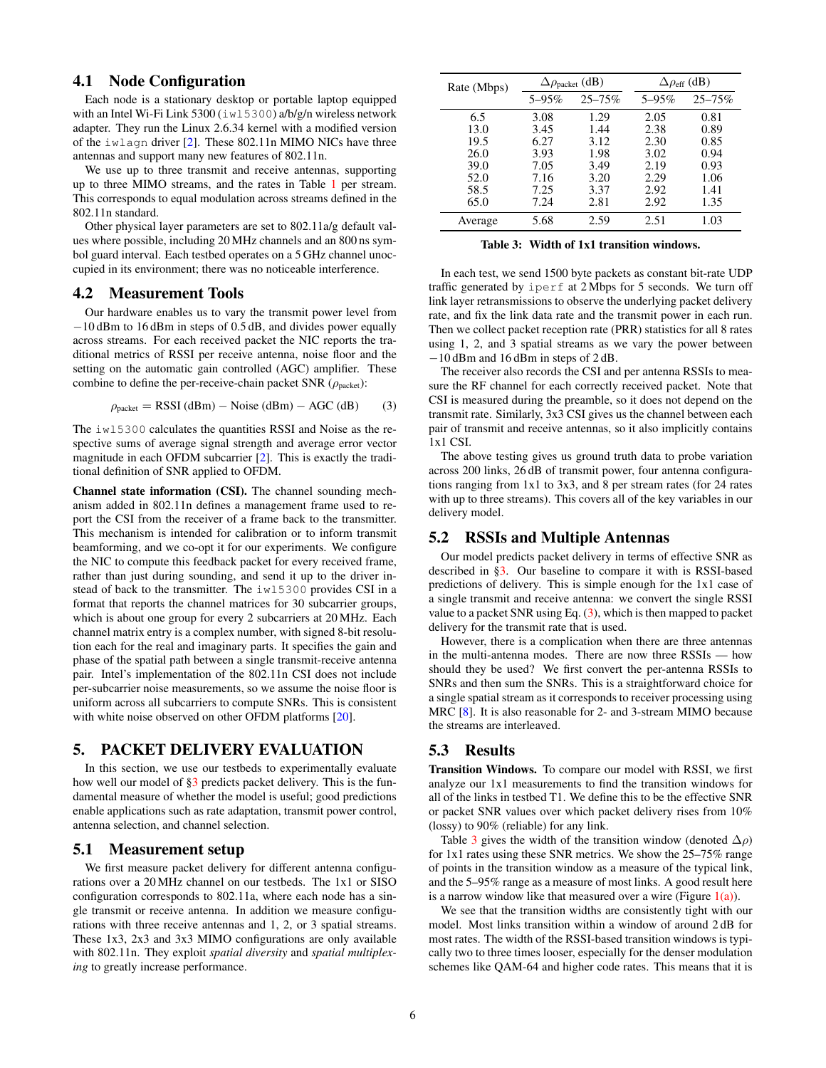#### 4.1 Node Configuration

Each node is a stationary desktop or portable laptop equipped with an Intel Wi-Fi Link 5300 (iwl5300) a/b/g/n wireless network adapter. They run the Linux 2.6.34 kernel with a modified version of the iwlagn driver [\[2\]](#page-11-23). These 802.11n MIMO NICs have three antennas and support many new features of 802.11n.

We use up to three transmit and receive antennas, supporting up to three MIMO streams, and the rates in Table [1](#page-1-1) per stream. This corresponds to equal modulation across streams defined in the 802.11n standard.

Other physical layer parameters are set to 802.11a/g default values where possible, including 20 MHz channels and an 800 ns symbol guard interval. Each testbed operates on a 5 GHz channel unoccupied in its environment; there was no noticeable interference.

#### <span id="page-5-1"></span>4.2 Measurement Tools

Our hardware enables us to vary the transmit power level from −10 dBm to 16 dBm in steps of 0.5 dB, and divides power equally across streams. For each received packet the NIC reports the traditional metrics of RSSI per receive antenna, noise floor and the setting on the automatic gain controlled (AGC) amplifier. These combine to define the per-receive-chain packet SNR ( $\rho_{\text{packet}}$ ):

<span id="page-5-2"></span>
$$
\rho_{\text{packet}} = \text{RSSI (dBm)} - \text{Noise (dBm)} - \text{AGC (dB)} \tag{3}
$$

The iwl5300 calculates the quantities RSSI and Noise as the respective sums of average signal strength and average error vector magnitude in each OFDM subcarrier [\[2\]](#page-11-23). This is exactly the traditional definition of SNR applied to OFDM.

Channel state information (CSI). The channel sounding mechanism added in 802.11n defines a management frame used to report the CSI from the receiver of a frame back to the transmitter. This mechanism is intended for calibration or to inform transmit beamforming, and we co-opt it for our experiments. We configure the NIC to compute this feedback packet for every received frame, rather than just during sounding, and send it up to the driver instead of back to the transmitter. The iwl5300 provides CSI in a format that reports the channel matrices for 30 subcarrier groups, which is about one group for every 2 subcarriers at 20 MHz. Each channel matrix entry is a complex number, with signed 8-bit resolution each for the real and imaginary parts. It specifies the gain and phase of the spatial path between a single transmit-receive antenna pair. Intel's implementation of the 802.11n CSI does not include per-subcarrier noise measurements, so we assume the noise floor is uniform across all subcarriers to compute SNRs. This is consistent with white noise observed on other OFDM platforms [\[20\]](#page-11-24).

# <span id="page-5-0"></span>5. PACKET DELIVERY EVALUATION

In this section, we use our testbeds to experimentally evaluate how well our model of  $\S3$  predicts packet delivery. This is the fundamental measure of whether the model is useful; good predictions enable applications such as rate adaptation, transmit power control, antenna selection, and channel selection.

#### 5.1 Measurement setup

We first measure packet delivery for different antenna configurations over a 20 MHz channel on our testbeds. The 1x1 or SISO configuration corresponds to 802.11a, where each node has a single transmit or receive antenna. In addition we measure configurations with three receive antennas and 1, 2, or 3 spatial streams. These 1x3, 2x3 and 3x3 MIMO configurations are only available with 802.11n. They exploit *spatial diversity* and *spatial multiplexing* to greatly increase performance.

<span id="page-5-3"></span>

| Rate (Mbps) | $\Delta \rho_{\text{packet}}$ (dB) |             | $\Delta \rho_{\rm eff}$ (dB) |             |
|-------------|------------------------------------|-------------|------------------------------|-------------|
|             | $5 - 95\%$                         | $25 - 75\%$ | $5 - 95\%$                   | $25 - 75\%$ |
| 6.5         | 3.08                               | 1.29        | 2.05                         | 0.81        |
| 13.0        | 3.45                               | 1.44        | 2.38                         | 0.89        |
| 19.5        | 6.27                               | 3.12        | 2.30                         | 0.85        |
| 26.0        | 3.93                               | 1.98        | 3.02                         | 0.94        |
| 39.0        | 7.05                               | 3.49        | 2.19                         | 0.93        |
| 52.0        | 7.16                               | 3.20        | 2.29                         | 1.06        |
| 58.5        | 7.25                               | 3.37        | 2.92                         | 1.41        |
| 65.0        | 7.24                               | 2.81        | 2.92                         | 1.35        |
| Average     | 5.68                               | 2.59        | 2.51                         | 1.03        |

Table 3: Width of 1x1 transition windows.

In each test, we send 1500 byte packets as constant bit-rate UDP traffic generated by iperf at 2 Mbps for 5 seconds. We turn off link layer retransmissions to observe the underlying packet delivery rate, and fix the link data rate and the transmit power in each run. Then we collect packet reception rate (PRR) statistics for all 8 rates using 1, 2, and 3 spatial streams as we vary the power between −10 dBm and 16 dBm in steps of 2 dB.

The receiver also records the CSI and per antenna RSSIs to measure the RF channel for each correctly received packet. Note that CSI is measured during the preamble, so it does not depend on the transmit rate. Similarly, 3x3 CSI gives us the channel between each pair of transmit and receive antennas, so it also implicitly contains 1x1 CSI.

The above testing gives us ground truth data to probe variation across 200 links, 26 dB of transmit power, four antenna configurations ranging from 1x1 to 3x3, and 8 per stream rates (for 24 rates with up to three streams). This covers all of the key variables in our delivery model.

## 5.2 RSSIs and Multiple Antennas

Our model predicts packet delivery in terms of effective SNR as described in [§3.](#page-2-0) Our baseline to compare it with is RSSI-based predictions of delivery. This is simple enough for the 1x1 case of a single transmit and receive antenna: we convert the single RSSI value to a packet SNR using Eq.  $(3)$ , which is then mapped to packet delivery for the transmit rate that is used.

However, there is a complication when there are three antennas in the multi-antenna modes. There are now three RSSIs — how should they be used? We first convert the per-antenna RSSIs to SNRs and then sum the SNRs. This is a straightforward choice for a single spatial stream as it corresponds to receiver processing using MRC [\[8\]](#page-11-19). It is also reasonable for 2- and 3-stream MIMO because the streams are interleaved.

## 5.3 Results

Transition Windows. To compare our model with RSSI, we first analyze our 1x1 measurements to find the transition windows for all of the links in testbed T1. We define this to be the effective SNR or packet SNR values over which packet delivery rises from 10% (lossy) to 90% (reliable) for any link.

Table [3](#page-5-3) gives the width of the transition window (denoted  $\Delta \rho$ ) for 1x1 rates using these SNR metrics. We show the 25–75% range of points in the transition window as a measure of the typical link, and the 5–95% range as a measure of most links. A good result here is a narrow window like that measured over a wire (Figure  $1(a)$ ).

We see that the transition widths are consistently tight with our model. Most links transition within a window of around 2 dB for most rates. The width of the RSSI-based transition windows is typically two to three times looser, especially for the denser modulation schemes like QAM-64 and higher code rates. This means that it is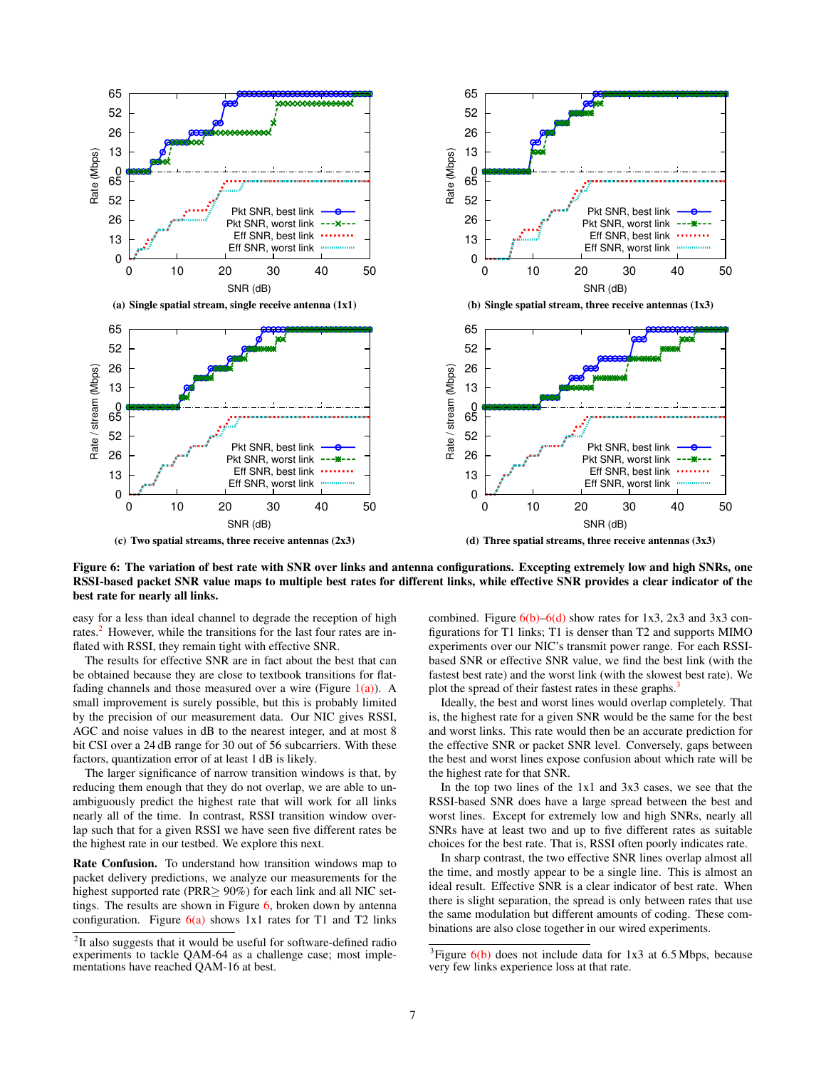<span id="page-6-2"></span><span id="page-6-1"></span>

Figure 6: The variation of best rate with SNR over links and antenna configurations. Excepting extremely low and high SNRs, one RSSI-based packet SNR value maps to multiple best rates for different links, while effective SNR provides a clear indicator of the best rate for nearly all links.

easy for a less than ideal channel to degrade the reception of high rates.<sup>[2](#page-6-0)</sup> However, while the transitions for the last four rates are inflated with RSSI, they remain tight with effective SNR.

The results for effective SNR are in fact about the best that can be obtained because they are close to textbook transitions for flatfading channels and those measured over a wire (Figure  $1(a)$ ). A small improvement is surely possible, but this is probably limited by the precision of our measurement data. Our NIC gives RSSI, AGC and noise values in dB to the nearest integer, and at most 8 bit CSI over a 24 dB range for 30 out of 56 subcarriers. With these factors, quantization error of at least 1 dB is likely.

The larger significance of narrow transition windows is that, by reducing them enough that they do not overlap, we are able to unambiguously predict the highest rate that will work for all links nearly all of the time. In contrast, RSSI transition window overlap such that for a given RSSI we have seen five different rates be the highest rate in our testbed. We explore this next.

Rate Confusion. To understand how transition windows map to packet delivery predictions, we analyze our measurements for the highest supported rate (PRR≥ 90%) for each link and all NIC settings. The results are shown in Figure  $6$ , broken down by antenna configuration. Figure  $6(a)$  shows 1x1 rates for T1 and T2 links <span id="page-6-4"></span><span id="page-6-3"></span>combined. Figure  $6(b)$ – $6(d)$  show rates for 1x3, 2x3 and 3x3 configurations for T1 links; T1 is denser than T2 and supports MIMO experiments over our NIC's transmit power range. For each RSSIbased SNR or effective SNR value, we find the best link (with the fastest best rate) and the worst link (with the slowest best rate). We plot the spread of their fastest rates in these graphs.<sup>[3](#page-6-5)</sup>

Ideally, the best and worst lines would overlap completely. That is, the highest rate for a given SNR would be the same for the best and worst links. This rate would then be an accurate prediction for the effective SNR or packet SNR level. Conversely, gaps between the best and worst lines expose confusion about which rate will be the highest rate for that SNR.

In the top two lines of the 1x1 and 3x3 cases, we see that the RSSI-based SNR does have a large spread between the best and worst lines. Except for extremely low and high SNRs, nearly all SNRs have at least two and up to five different rates as suitable choices for the best rate. That is, RSSI often poorly indicates rate.

In sharp contrast, the two effective SNR lines overlap almost all the time, and mostly appear to be a single line. This is almost an ideal result. Effective SNR is a clear indicator of best rate. When there is slight separation, the spread is only between rates that use the same modulation but different amounts of coding. These combinations are also close together in our wired experiments.

<span id="page-6-0"></span><sup>&</sup>lt;sup>2</sup>It also suggests that it would be useful for software-defined radio experiments to tackle QAM-64 as a challenge case; most implementations have reached QAM-16 at best.

<span id="page-6-5"></span><sup>&</sup>lt;sup>3</sup>Figure  $6(b)$  does not include data for 1x3 at 6.5 Mbps, because very few links experience loss at that rate.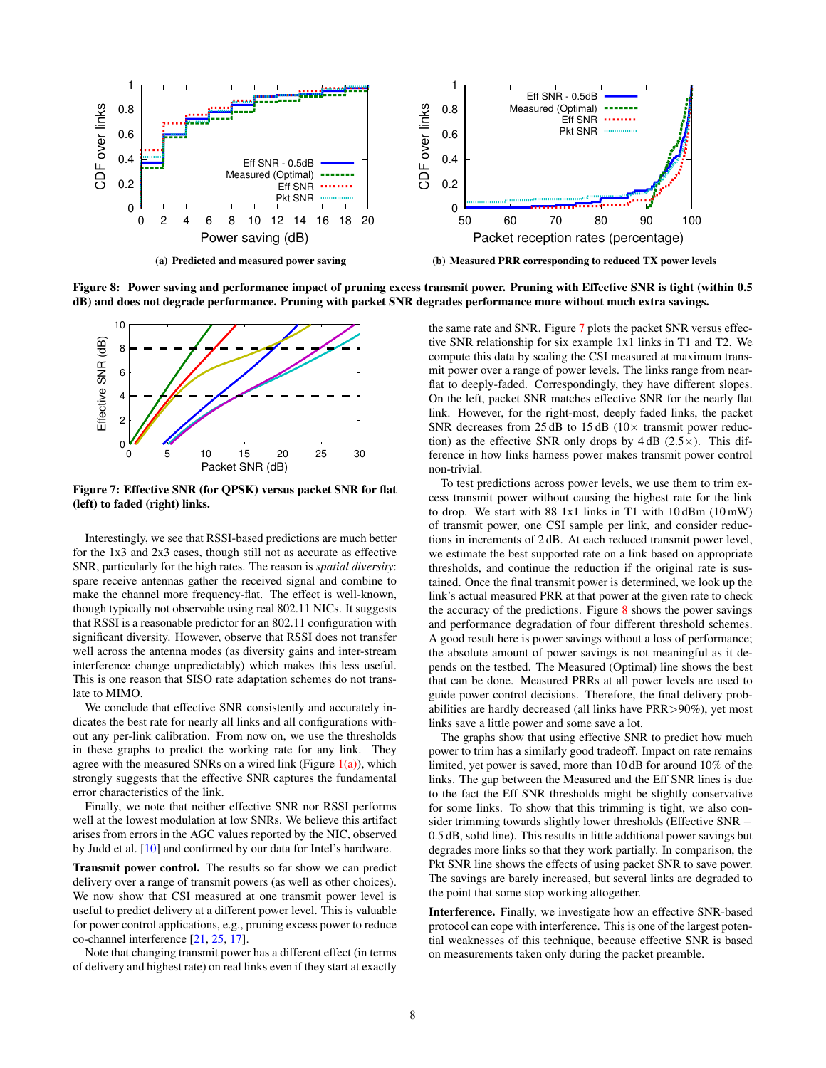<span id="page-7-1"></span>

Figure 8: Power saving and performance impact of pruning excess transmit power. Pruning with Effective SNR is tight (within 0.5 dB) and does not degrade performance. Pruning with packet SNR degrades performance more without much extra savings.

<span id="page-7-0"></span>

Figure 7: Effective SNR (for QPSK) versus packet SNR for flat (left) to faded (right) links.

Interestingly, we see that RSSI-based predictions are much better for the 1x3 and 2x3 cases, though still not as accurate as effective SNR, particularly for the high rates. The reason is *spatial diversity*: spare receive antennas gather the received signal and combine to make the channel more frequency-flat. The effect is well-known, though typically not observable using real 802.11 NICs. It suggests that RSSI is a reasonable predictor for an 802.11 configuration with significant diversity. However, observe that RSSI does not transfer well across the antenna modes (as diversity gains and inter-stream interference change unpredictably) which makes this less useful. This is one reason that SISO rate adaptation schemes do not translate to MIMO.

We conclude that effective SNR consistently and accurately indicates the best rate for nearly all links and all configurations without any per-link calibration. From now on, we use the thresholds in these graphs to predict the working rate for any link. They agree with the measured SNRs on a wired link (Figure  $1(a)$ ), which strongly suggests that the effective SNR captures the fundamental error characteristics of the link.

Finally, we note that neither effective SNR nor RSSI performs well at the lowest modulation at low SNRs. We believe this artifact arises from errors in the AGC values reported by the NIC, observed by Judd et al. [\[10\]](#page-11-2) and confirmed by our data for Intel's hardware.

Transmit power control. The results so far show we can predict delivery over a range of transmit powers (as well as other choices). We now show that CSI measured at one transmit power level is useful to predict delivery at a different power level. This is valuable for power control applications, e.g., pruning excess power to reduce co-channel interference [\[21,](#page-11-6) [25,](#page-11-7) [17\]](#page-11-5).

Note that changing transmit power has a different effect (in terms of delivery and highest rate) on real links even if they start at exactly the same rate and SNR. Figure [7](#page-7-0) plots the packet SNR versus effective SNR relationship for six example 1x1 links in T1 and T2. We compute this data by scaling the CSI measured at maximum transmit power over a range of power levels. The links range from nearflat to deeply-faded. Correspondingly, they have different slopes. On the left, packet SNR matches effective SNR for the nearly flat link. However, for the right-most, deeply faded links, the packet SNR decreases from 25 dB to 15 dB ( $10\times$  transmit power reduction) as the effective SNR only drops by  $4 dB$  (2.5 $\times$ ). This difference in how links harness power makes transmit power control non-trivial.

To test predictions across power levels, we use them to trim excess transmit power without causing the highest rate for the link to drop. We start with 88 1x1 links in T1 with 10 dBm (10 mW) of transmit power, one CSI sample per link, and consider reductions in increments of 2 dB. At each reduced transmit power level, we estimate the best supported rate on a link based on appropriate thresholds, and continue the reduction if the original rate is sustained. Once the final transmit power is determined, we look up the link's actual measured PRR at that power at the given rate to check the accuracy of the predictions. Figure [8](#page-7-1) shows the power savings and performance degradation of four different threshold schemes. A good result here is power savings without a loss of performance; the absolute amount of power savings is not meaningful as it depends on the testbed. The Measured (Optimal) line shows the best that can be done. Measured PRRs at all power levels are used to guide power control decisions. Therefore, the final delivery probabilities are hardly decreased (all links have PRR>90%), yet most links save a little power and some save a lot.

The graphs show that using effective SNR to predict how much power to trim has a similarly good tradeoff. Impact on rate remains limited, yet power is saved, more than 10 dB for around 10% of the links. The gap between the Measured and the Eff SNR lines is due to the fact the Eff SNR thresholds might be slightly conservative for some links. To show that this trimming is tight, we also consider trimming towards slightly lower thresholds (Effective SNR – 0.5 dB, solid line). This results in little additional power savings but degrades more links so that they work partially. In comparison, the Pkt SNR line shows the effects of using packet SNR to save power. The savings are barely increased, but several links are degraded to the point that some stop working altogether.

Interference. Finally, we investigate how an effective SNR-based protocol can cope with interference. This is one of the largest potential weaknesses of this technique, because effective SNR is based on measurements taken only during the packet preamble.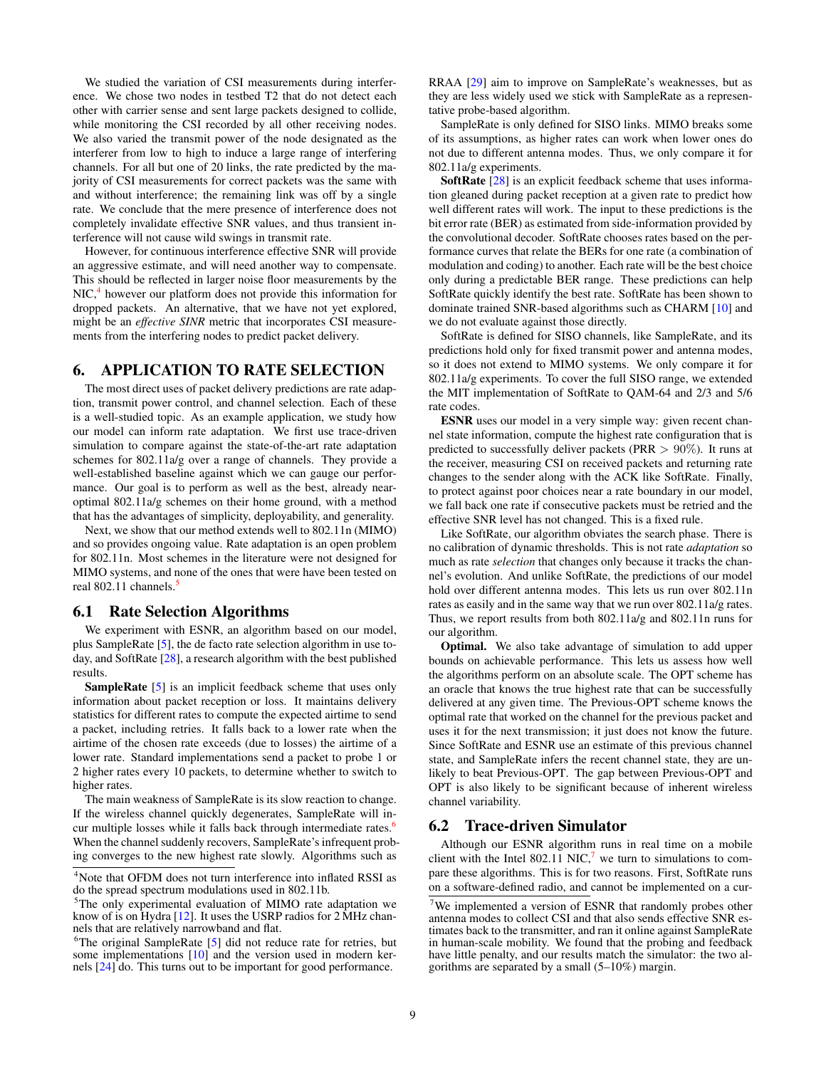We studied the variation of CSI measurements during interference. We chose two nodes in testbed T2 that do not detect each other with carrier sense and sent large packets designed to collide, while monitoring the CSI recorded by all other receiving nodes. We also varied the transmit power of the node designated as the interferer from low to high to induce a large range of interfering channels. For all but one of 20 links, the rate predicted by the majority of CSI measurements for correct packets was the same with and without interference; the remaining link was off by a single rate. We conclude that the mere presence of interference does not completely invalidate effective SNR values, and thus transient interference will not cause wild swings in transmit rate.

However, for continuous interference effective SNR will provide an aggressive estimate, and will need another way to compensate. This should be reflected in larger noise floor measurements by the NIC,<sup>[4](#page-8-1)</sup> however our platform does not provide this information for dropped packets. An alternative, that we have not yet explored, might be an *effective SINR* metric that incorporates CSI measurements from the interfering nodes to predict packet delivery.

# <span id="page-8-0"></span>6. APPLICATION TO RATE SELECTION

The most direct uses of packet delivery predictions are rate adaption, transmit power control, and channel selection. Each of these is a well-studied topic. As an example application, we study how our model can inform rate adaptation. We first use trace-driven simulation to compare against the state-of-the-art rate adaptation schemes for 802.11a/g over a range of channels. They provide a well-established baseline against which we can gauge our performance. Our goal is to perform as well as the best, already nearoptimal 802.11a/g schemes on their home ground, with a method that has the advantages of simplicity, deployability, and generality.

Next, we show that our method extends well to 802.11n (MIMO) and so provides ongoing value. Rate adaptation is an open problem for 802.11n. Most schemes in the literature were not designed for MIMO systems, and none of the ones that were have been tested on real 802.11 channels.<sup>[5](#page-8-2)</sup>

#### 6.1 Rate Selection Algorithms

We experiment with ESNR, an algorithm based on our model, plus SampleRate [\[5\]](#page-11-1), the de facto rate selection algorithm in use today, and SoftRate [\[28\]](#page-11-4), a research algorithm with the best published results.

SampleRate [\[5\]](#page-11-1) is an implicit feedback scheme that uses only information about packet reception or loss. It maintains delivery statistics for different rates to compute the expected airtime to send a packet, including retries. It falls back to a lower rate when the airtime of the chosen rate exceeds (due to losses) the airtime of a lower rate. Standard implementations send a packet to probe 1 or 2 higher rates every 10 packets, to determine whether to switch to higher rates.

The main weakness of SampleRate is its slow reaction to change. If the wireless channel quickly degenerates, SampleRate will in-cur multiple losses while it falls back through intermediate rates.<sup>[6](#page-8-3)</sup> When the channel suddenly recovers, SampleRate's infrequent probing converges to the new highest rate slowly. Algorithms such as

RRAA [\[29\]](#page-11-15) aim to improve on SampleRate's weaknesses, but as they are less widely used we stick with SampleRate as a representative probe-based algorithm.

SampleRate is only defined for SISO links. MIMO breaks some of its assumptions, as higher rates can work when lower ones do not due to different antenna modes. Thus, we only compare it for 802.11a/g experiments.

SoftRate [\[28\]](#page-11-4) is an explicit feedback scheme that uses information gleaned during packet reception at a given rate to predict how well different rates will work. The input to these predictions is the bit error rate (BER) as estimated from side-information provided by the convolutional decoder. SoftRate chooses rates based on the performance curves that relate the BERs for one rate (a combination of modulation and coding) to another. Each rate will be the best choice only during a predictable BER range. These predictions can help SoftRate quickly identify the best rate. SoftRate has been shown to dominate trained SNR-based algorithms such as CHARM [\[10\]](#page-11-2) and we do not evaluate against those directly.

SoftRate is defined for SISO channels, like SampleRate, and its predictions hold only for fixed transmit power and antenna modes, so it does not extend to MIMO systems. We only compare it for 802.11a/g experiments. To cover the full SISO range, we extended the MIT implementation of SoftRate to QAM-64 and 2/3 and 5/6 rate codes.

ESNR uses our model in a very simple way: given recent channel state information, compute the highest rate configuration that is predicted to successfully deliver packets (PRR  $> 90\%$ ). It runs at the receiver, measuring CSI on received packets and returning rate changes to the sender along with the ACK like SoftRate. Finally, to protect against poor choices near a rate boundary in our model, we fall back one rate if consecutive packets must be retried and the effective SNR level has not changed. This is a fixed rule.

Like SoftRate, our algorithm obviates the search phase. There is no calibration of dynamic thresholds. This is not rate *adaptation* so much as rate *selection* that changes only because it tracks the channel's evolution. And unlike SoftRate, the predictions of our model hold over different antenna modes. This lets us run over 802.11n rates as easily and in the same way that we run over 802.11a/g rates. Thus, we report results from both 802.11a/g and 802.11n runs for our algorithm.

Optimal. We also take advantage of simulation to add upper bounds on achievable performance. This lets us assess how well the algorithms perform on an absolute scale. The OPT scheme has an oracle that knows the true highest rate that can be successfully delivered at any given time. The Previous-OPT scheme knows the optimal rate that worked on the channel for the previous packet and uses it for the next transmission; it just does not know the future. Since SoftRate and ESNR use an estimate of this previous channel state, and SampleRate infers the recent channel state, they are unlikely to beat Previous-OPT. The gap between Previous-OPT and OPT is also likely to be significant because of inherent wireless channel variability.

#### 6.2 Trace-driven Simulator

Although our ESNR algorithm runs in real time on a mobile client with the Intel 802.11 NIC, $^7$  $^7$  we turn to simulations to compare these algorithms. This is for two reasons. First, SoftRate runs on a software-defined radio, and cannot be implemented on a cur-

<span id="page-8-1"></span><sup>&</sup>lt;sup>4</sup>Note that OFDM does not turn interference into inflated RSSI as do the spread spectrum modulations used in 802.11b.

<span id="page-8-2"></span><sup>&</sup>lt;sup>5</sup>The only experimental evaluation of MIMO rate adaptation we know of is on Hydra [\[12\]](#page-11-25). It uses the USRP radios for 2 MHz channels that are relatively narrowband and flat.

<span id="page-8-3"></span> $6$ The original SampleRate [\[5\]](#page-11-1) did not reduce rate for retries, but some implementations [\[10\]](#page-11-2) and the version used in modern kernels [\[24\]](#page-11-14) do. This turns out to be important for good performance.

<span id="page-8-4"></span> $7$ We implemented a version of ESNR that randomly probes other antenna modes to collect CSI and that also sends effective SNR estimates back to the transmitter, and ran it online against SampleRate in human-scale mobility. We found that the probing and feedback have little penalty, and our results match the simulator: the two algorithms are separated by a small (5–10%) margin.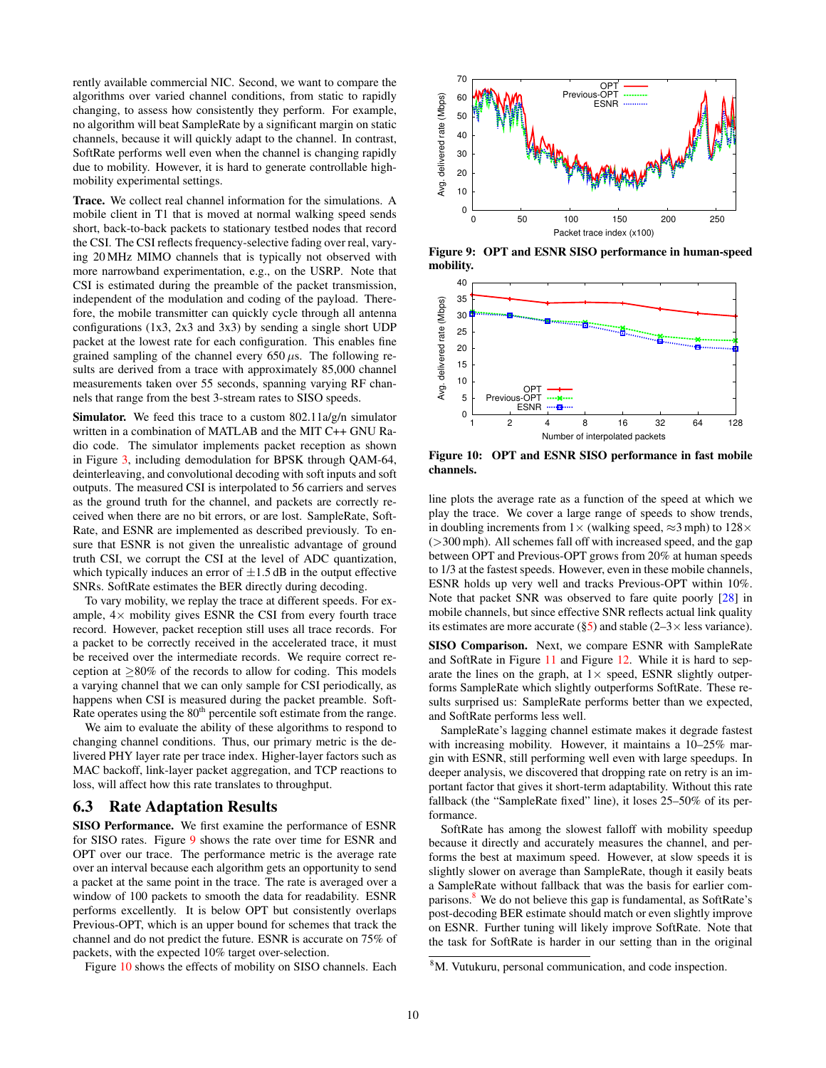rently available commercial NIC. Second, we want to compare the algorithms over varied channel conditions, from static to rapidly changing, to assess how consistently they perform. For example, no algorithm will beat SampleRate by a significant margin on static channels, because it will quickly adapt to the channel. In contrast, SoftRate performs well even when the channel is changing rapidly due to mobility. However, it is hard to generate controllable highmobility experimental settings.

Trace. We collect real channel information for the simulations. A mobile client in T1 that is moved at normal walking speed sends short, back-to-back packets to stationary testbed nodes that record the CSI. The CSI reflects frequency-selective fading over real, varying 20 MHz MIMO channels that is typically not observed with more narrowband experimentation, e.g., on the USRP. Note that CSI is estimated during the preamble of the packet transmission, independent of the modulation and coding of the payload. Therefore, the mobile transmitter can quickly cycle through all antenna configurations (1x3, 2x3 and 3x3) by sending a single short UDP packet at the lowest rate for each configuration. This enables fine grained sampling of the channel every  $650 \mu s$ . The following results are derived from a trace with approximately 85,000 channel measurements taken over 55 seconds, spanning varying RF channels that range from the best 3-stream rates to SISO speeds.

Simulator. We feed this trace to a custom 802.11a/g/n simulator written in a combination of MATLAB and the MIT C++ GNU Radio code. The simulator implements packet reception as shown in Figure [3,](#page-3-0) including demodulation for BPSK through QAM-64, deinterleaving, and convolutional decoding with soft inputs and soft outputs. The measured CSI is interpolated to 56 carriers and serves as the ground truth for the channel, and packets are correctly received when there are no bit errors, or are lost. SampleRate, Soft-Rate, and ESNR are implemented as described previously. To ensure that ESNR is not given the unrealistic advantage of ground truth CSI, we corrupt the CSI at the level of ADC quantization, which typically induces an error of  $\pm 1.5$  dB in the output effective SNRs. SoftRate estimates the BER directly during decoding.

To vary mobility, we replay the trace at different speeds. For example,  $4 \times$  mobility gives ESNR the CSI from every fourth trace record. However, packet reception still uses all trace records. For a packet to be correctly received in the accelerated trace, it must be received over the intermediate records. We require correct reception at  $>80\%$  of the records to allow for coding. This models a varying channel that we can only sample for CSI periodically, as happens when CSI is measured during the packet preamble. Soft-Rate operates using the 80<sup>th</sup> percentile soft estimate from the range.

We aim to evaluate the ability of these algorithms to respond to changing channel conditions. Thus, our primary metric is the delivered PHY layer rate per trace index. Higher-layer factors such as MAC backoff, link-layer packet aggregation, and TCP reactions to loss, will affect how this rate translates to throughput.

#### 6.3 Rate Adaptation Results

SISO Performance. We first examine the performance of ESNR for SISO rates. Figure [9](#page-9-0) shows the rate over time for ESNR and OPT over our trace. The performance metric is the average rate over an interval because each algorithm gets an opportunity to send a packet at the same point in the trace. The rate is averaged over a window of 100 packets to smooth the data for readability. ESNR performs excellently. It is below OPT but consistently overlaps Previous-OPT, which is an upper bound for schemes that track the channel and do not predict the future. ESNR is accurate on 75% of packets, with the expected 10% target over-selection.

Figure [10](#page-9-1) shows the effects of mobility on SISO channels. Each

<span id="page-9-0"></span>

Figure 9: OPT and ESNR SISO performance in human-speed mobility.

<span id="page-9-1"></span>

Figure 10: OPT and ESNR SISO performance in fast mobile channels.

line plots the average rate as a function of the speed at which we play the trace. We cover a large range of speeds to show trends, in doubling increments from  $1\times$  (walking speed,  $\approx$ 3 mph) to  $128\times$ (>300 mph). All schemes fall off with increased speed, and the gap between OPT and Previous-OPT grows from 20% at human speeds to 1/3 at the fastest speeds. However, even in these mobile channels, ESNR holds up very well and tracks Previous-OPT within 10%. Note that packet SNR was observed to fare quite poorly [\[28\]](#page-11-4) in mobile channels, but since effective SNR reflects actual link quality its estimates are more accurate ( $\S5$ ) and stable (2–3 $\times$  less variance).

SISO Comparison. Next, we compare ESNR with SampleRate and SoftRate in Figure [11](#page-10-1) and Figure [12.](#page-10-2) While it is hard to separate the lines on the graph, at  $1 \times$  speed, ESNR slightly outperforms SampleRate which slightly outperforms SoftRate. These results surprised us: SampleRate performs better than we expected, and SoftRate performs less well.

SampleRate's lagging channel estimate makes it degrade fastest with increasing mobility. However, it maintains a 10–25% margin with ESNR, still performing well even with large speedups. In deeper analysis, we discovered that dropping rate on retry is an important factor that gives it short-term adaptability. Without this rate fallback (the "SampleRate fixed" line), it loses 25–50% of its performance.

SoftRate has among the slowest falloff with mobility speedup because it directly and accurately measures the channel, and performs the best at maximum speed. However, at slow speeds it is slightly slower on average than SampleRate, though it easily beats a SampleRate without fallback that was the basis for earlier comparisons. $8$  We do not believe this gap is fundamental, as SoftRate's post-decoding BER estimate should match or even slightly improve on ESNR. Further tuning will likely improve SoftRate. Note that the task for SoftRate is harder in our setting than in the original

<span id="page-9-2"></span><sup>8</sup>M. Vutukuru, personal communication, and code inspection.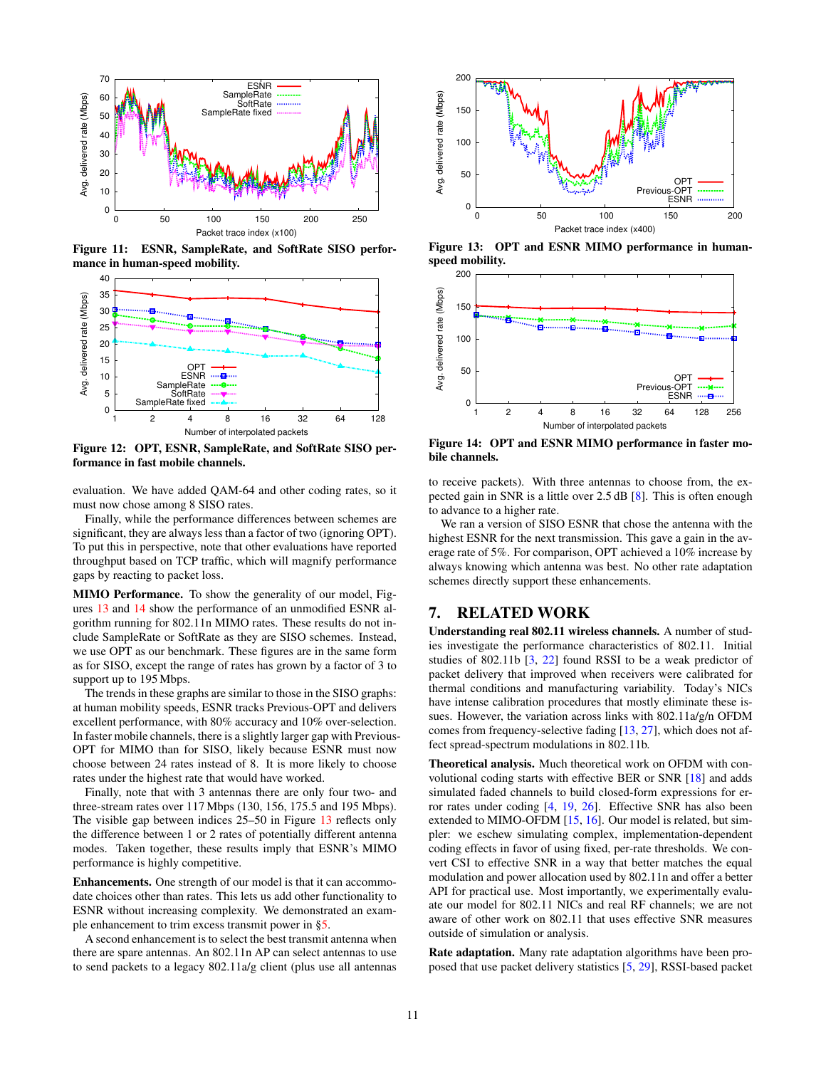<span id="page-10-1"></span>

Figure 11: ESNR, SampleRate, and SoftRate SISO performance in human-speed mobility.

<span id="page-10-2"></span>

Figure 12: OPT, ESNR, SampleRate, and SoftRate SISO performance in fast mobile channels.

evaluation. We have added QAM-64 and other coding rates, so it must now chose among 8 SISO rates.

Finally, while the performance differences between schemes are significant, they are always less than a factor of two (ignoring OPT). To put this in perspective, note that other evaluations have reported throughput based on TCP traffic, which will magnify performance gaps by reacting to packet loss.

MIMO Performance. To show the generality of our model, Figures [13](#page-10-3) and [14](#page-10-4) show the performance of an unmodified ESNR algorithm running for 802.11n MIMO rates. These results do not include SampleRate or SoftRate as they are SISO schemes. Instead, we use OPT as our benchmark. These figures are in the same form as for SISO, except the range of rates has grown by a factor of 3 to support up to 195 Mbps.

The trends in these graphs are similar to those in the SISO graphs: at human mobility speeds, ESNR tracks Previous-OPT and delivers excellent performance, with 80% accuracy and 10% over-selection. In faster mobile channels, there is a slightly larger gap with Previous-OPT for MIMO than for SISO, likely because ESNR must now choose between 24 rates instead of 8. It is more likely to choose rates under the highest rate that would have worked.

Finally, note that with 3 antennas there are only four two- and three-stream rates over 117 Mbps (130, 156, 175.5 and 195 Mbps). The visible gap between indices 25–50 in Figure [13](#page-10-3) reflects only the difference between 1 or 2 rates of potentially different antenna modes. Taken together, these results imply that ESNR's MIMO performance is highly competitive.

Enhancements. One strength of our model is that it can accommodate choices other than rates. This lets us add other functionality to ESNR without increasing complexity. We demonstrated an example enhancement to trim excess transmit power in [§5.](#page-5-0)

A second enhancement is to select the best transmit antenna when there are spare antennas. An 802.11n AP can select antennas to use to send packets to a legacy 802.11a/g client (plus use all antennas

<span id="page-10-3"></span>

Figure 13: OPT and ESNR MIMO performance in humanspeed mobility.

<span id="page-10-4"></span>

Figure 14: OPT and ESNR MIMO performance in faster mobile channels.

to receive packets). With three antennas to choose from, the expected gain in SNR is a little over 2.5 dB [\[8\]](#page-11-19). This is often enough to advance to a higher rate.

We ran a version of SISO ESNR that chose the antenna with the highest ESNR for the next transmission. This gave a gain in the average rate of 5%. For comparison, OPT achieved a 10% increase by always knowing which antenna was best. No other rate adaptation schemes directly support these enhancements.

# <span id="page-10-0"></span>7. RELATED WORK

Understanding real 802.11 wireless channels. A number of studies investigate the performance characteristics of 802.11. Initial studies of 802.11b [\[3,](#page-11-11) [22\]](#page-11-10) found RSSI to be a weak predictor of packet delivery that improved when receivers were calibrated for thermal conditions and manufacturing variability. Today's NICs have intense calibration procedures that mostly eliminate these issues. However, the variation across links with 802.11a/g/n OFDM comes from frequency-selective fading [\[13,](#page-11-26) [27\]](#page-11-8), which does not affect spread-spectrum modulations in 802.11b.

Theoretical analysis. Much theoretical work on OFDM with convolutional coding starts with effective BER or SNR [\[18\]](#page-11-17) and adds simulated faded channels to build closed-form expressions for error rates under coding [\[4,](#page-11-27) [19,](#page-11-22) [26\]](#page-11-28). Effective SNR has also been extended to MIMO-OFDM [\[15,](#page-11-21) [16\]](#page-11-29). Our model is related, but simpler: we eschew simulating complex, implementation-dependent coding effects in favor of using fixed, per-rate thresholds. We convert CSI to effective SNR in a way that better matches the equal modulation and power allocation used by 802.11n and offer a better API for practical use. Most importantly, we experimentally evaluate our model for 802.11 NICs and real RF channels; we are not aware of other work on 802.11 that uses effective SNR measures outside of simulation or analysis.

Rate adaptation. Many rate adaptation algorithms have been proposed that use packet delivery statistics [\[5,](#page-11-1) [29\]](#page-11-15), RSSI-based packet